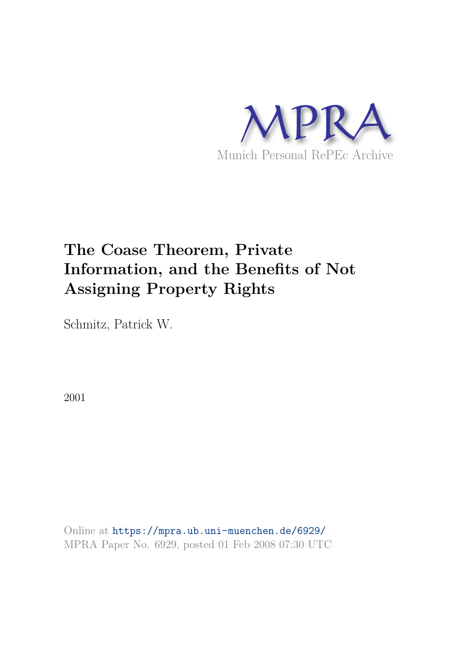

# **The Coase Theorem, Private Information, and the Benefits of Not Assigning Property Rights**

Schmitz, Patrick W.

2001

Online at https://mpra.ub.uni-muenchen.de/6929/ MPRA Paper No. 6929, posted 01 Feb 2008 07:30 UTC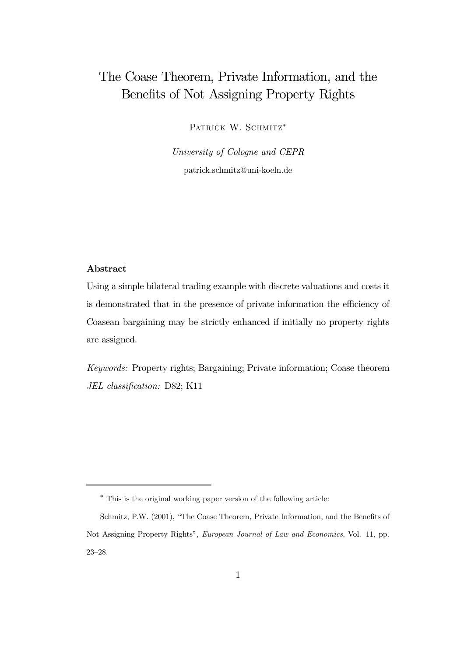## The Coase Theorem, Private Information, and the Benefits of Not Assigning Property Rights

PATRICK W. SCHMITZ<sup>\*</sup>

*University of Cologne and CEPR* patrick.schmitz@uni-koeln.de

#### Abstract

Using a simple bilateral trading example with discrete valuations and costs it is demonstrated that in the presence of private information the efficiency of Coasean bargaining may be strictly enhanced if initially no property rights are assigned.

*Keywords:* Property rights; Bargaining; Private information; Coase theorem *JEL classi*fi*cation:* D82; K11

<sup>∗</sup> This is the original working paper version of the following article:

Schmitz, P.W. (2001), "The Coase Theorem, Private Information, and the Benefits of Not Assigning Property Rights", *European Journal of Law and Economics*, Vol. 11, pp. 23—28.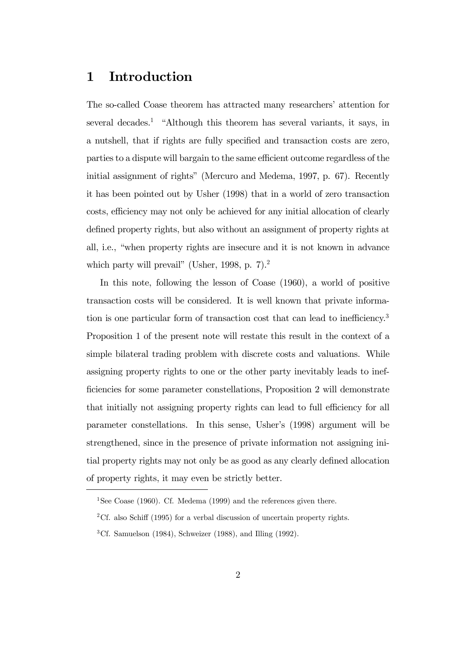## 1 Introduction

The so-called Coase theorem has attracted many researchers' attention for several decades.<sup>1</sup> "Although this theorem has several variants, it says, in a nutshell, that if rights are fully specified and transaction costs are zero, parties to a dispute will bargain to the same efficient outcome regardless of the initial assignment of rights" (Mercuro and Medema, 1997, p. 67). Recently it has been pointed out by Usher (1998) that in a world of zero transaction costs, efficiency may not only be achieved for any initial allocation of clearly defined property rights, but also without an assignment of property rights at all, i.e., "when property rights are insecure and it is not known in advance which party will prevail" (Usher, 1998, p. 7).<sup>2</sup>

In this note, following the lesson of Coase (1960), a world of positive transaction costs will be considered. It is well known that private information is one particular form of transaction cost that can lead to inefficiency.<sup>3</sup> Proposition 1 of the present note will restate this result in the context of a simple bilateral trading problem with discrete costs and valuations. While assigning property rights to one or the other party inevitably leads to inefficiencies for some parameter constellations, Proposition 2 will demonstrate that initially not assigning property rights can lead to full efficiency for all parameter constellations. In this sense, Usher's (1998) argument will be strengthened, since in the presence of private information not assigning initial property rights may not only be as good as any clearly defined allocation of property rights, it may even be strictly better.

<sup>&</sup>lt;sup>1</sup>See Coase (1960). Cf. Medema (1999) and the references given there.

<sup>&</sup>lt;sup>2</sup>Cf. also Schiff (1995) for a verbal discussion of uncertain property rights.

 ${}^{3}$ Cf. Samuelson (1984), Schweizer (1988), and Illing (1992).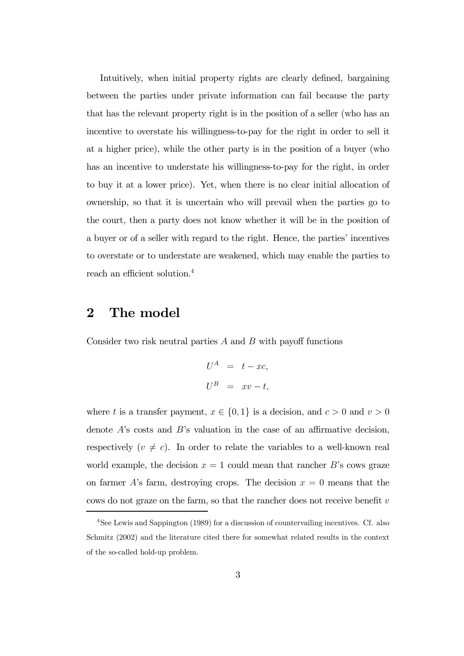Intuitively, when initial property rights are clearly defined, bargaining between the parties under private information can fail because the party that has the relevant property right is in the position of a seller (who has an incentive to overstate his willingness-to-pay for the right in order to sell it at a higher price), while the other party is in the position of a buyer (who has an incentive to understate his willingness-to-pay for the right, in order to buy it at a lower price). Yet, when there is no clear initial allocation of ownership, so that it is uncertain who will prevail when the parties go to the court, then a party does not know whether it will be in the position of a buyer or of a seller with regard to the right. Hence, the parties' incentives to overstate or to understate are weakened, which may enable the parties to reach an efficient solution.<sup>4</sup>

## 2 The model

Consider two risk neutral parties  $A$  and  $B$  with payoff functions

$$
U^A = t - xc,
$$
  

$$
U^B = xv - t,
$$

where t is a transfer payment,  $x \in \{0, 1\}$  is a decision, and  $c > 0$  and  $v > 0$ denote  $A$ 's costs and  $B$ 's valuation in the case of an affirmative decision, respectively  $(v \neq c)$ . In order to relate the variables to a well-known real world example, the decision  $x = 1$  could mean that rancher B's cows graze on farmer A's farm, destroying crops. The decision  $x = 0$  means that the cows do not graze on the farm, so that the rancher does not receive benefit  $v$ 

<sup>4</sup>See Lewis and Sappington (1989) for a discussion of countervailing incentives. Cf. also Schmitz (2002) and the literature cited there for somewhat related results in the context of the so-called hold-up problem.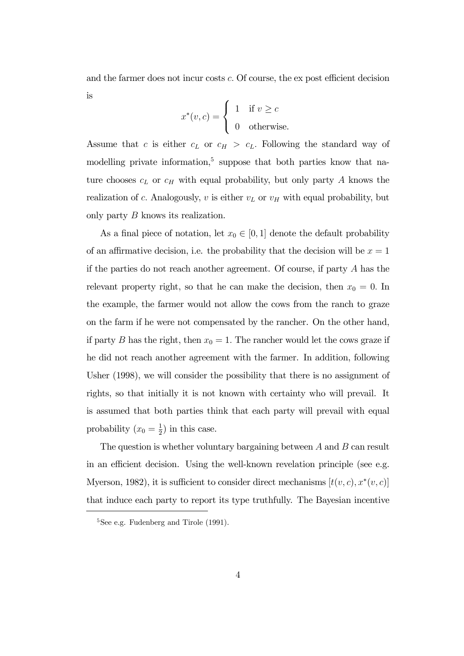and the farmer does not incur costs c. Of course, the ex post efficient decision is

$$
x^*(v,c) = \begin{cases} 1 & \text{if } v \ge c \\ 0 & \text{otherwise.} \end{cases}
$$

Assume that c is either  $c_L$  or  $c_H > c_L$ . Following the standard way of modelling private information,<sup>5</sup> suppose that both parties know that nature chooses  $c_L$  or  $c_H$  with equal probability, but only party A knows the realization of c. Analogously, v is either  $v<sub>L</sub>$  or  $v<sub>H</sub>$  with equal probability, but only party B knows its realization.

As a final piece of notation, let  $x_0 \in [0, 1]$  denote the default probability of an affirmative decision, i.e. the probability that the decision will be  $x = 1$ if the parties do not reach another agreement. Of course, if party  $A$  has the relevant property right, so that he can make the decision, then  $x_0 = 0$ . In the example, the farmer would not allow the cows from the ranch to graze on the farm if he were not compensated by the rancher. On the other hand, if party B has the right, then  $x_0 = 1$ . The rancher would let the cows graze if he did not reach another agreement with the farmer. In addition, following Usher (1998), we will consider the possibility that there is no assignment of rights, so that initially it is not known with certainty who will prevail. It is assumed that both parties think that each party will prevail with equal probability  $(x_0 = \frac{1}{2})$  $(\frac{1}{2})$  in this case.

The question is whether voluntary bargaining between  $A$  and  $B$  can result in an efficient decision. Using the well-known revelation principle (see e.g. Myerson, 1982), it is sufficient to consider direct mechanisms  $[t(v, c), x^*(v, c)]$ that induce each party to report its type truthfully. The Bayesian incentive

<sup>&</sup>lt;sup>5</sup>See e.g. Fudenberg and Tirole (1991).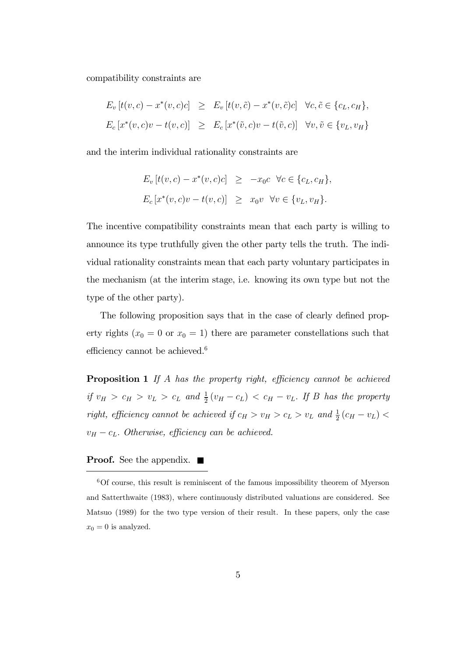compatibility constraints are

$$
E_v[t(v, c) - x^*(v, c)c] \ge E_v[t(v, \tilde{c}) - x^*(v, \tilde{c})c] \quad \forall c, \tilde{c} \in \{c_L, c_H\},
$$
  

$$
E_c[x^*(v, c)v - t(v, c)] \ge E_c[x^*(\tilde{v}, c)v - t(\tilde{v}, c)] \quad \forall v, \tilde{v} \in \{v_L, v_H\}
$$

and the interim individual rationality constraints are

$$
E_v[t(v, c) - x^*(v, c)c] \ge -x_0c \quad \forall c \in \{c_L, c_H\},
$$
  

$$
E_c[x^*(v, c)v - t(v, c)] \ge x_0v \quad \forall v \in \{v_L, v_H\}.
$$

The incentive compatibility constraints mean that each party is willing to announce its type truthfully given the other party tells the truth. The individual rationality constraints mean that each party voluntary participates in the mechanism (at the interim stage, i.e. knowing its own type but not the type of the other party).

The following proposition says that in the case of clearly defined property rights ( $x_0 = 0$  or  $x_0 = 1$ ) there are parameter constellations such that efficiency cannot be achieved.<sup>6</sup>

**Proposition 1** If A has the property right, efficiency cannot be achieved *if*  $v_H > c_H > v_L > c_L$  and  $\frac{1}{2}(v_H - c_L) < c_H - v_L$ . If B has the property *right, efficiency cannot be achieved if*  $c_H > v_H > c_L > v_L$  and  $\frac{1}{2}(c_H - v_L)$  $v_H - c_L$ . *Otherwise, efficiency can be achieved.* 

#### **Proof.** See the appendix.  $\blacksquare$

 $6$ Of course, this result is reminiscent of the famous impossibility theorem of Myerson and Satterthwaite (1983), where continuously distributed valuations are considered. See Matsuo (1989) for the two type version of their result. In these papers, only the case  $x_0 = 0$  is analyzed.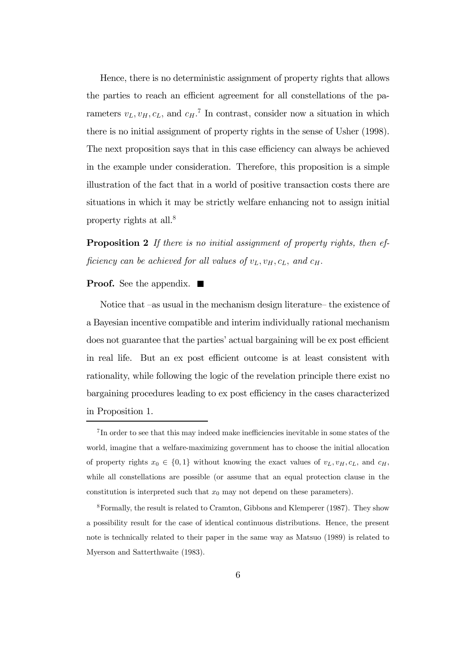Hence, there is no deterministic assignment of property rights that allows the parties to reach an efficient agreement for all constellations of the parameters  $v_L, v_H, c_L$ , and  $c_H$ .<sup>7</sup> In contrast, consider now a situation in which there is no initial assignment of property rights in the sense of Usher (1998). The next proposition says that in this case efficiency can always be achieved in the example under consideration. Therefore, this proposition is a simple illustration of the fact that in a world of positive transaction costs there are situations in which it may be strictly welfare enhancing not to assign initial property rights at all.<sup>8</sup>

Proposition 2 *If there is no initial assignment of property rights, then ef*ficiency can be achieved for all values of  $v_L$ ,  $v_H$ ,  $c_L$ , and  $c_H$ .

#### **Proof.** See the appendix.  $\blacksquare$

Notice that —as usual in the mechanism design literature— the existence of a Bayesian incentive compatible and interim individually rational mechanism does not guarantee that the parties' actual bargaining will be ex post efficient in real life. But an ex post efficient outcome is at least consistent with rationality, while following the logic of the revelation principle there exist no bargaining procedures leading to ex post efficiency in the cases characterized in Proposition 1.

<sup>&</sup>lt;sup>7</sup>In order to see that this may indeed make inefficiencies inevitable in some states of the world, imagine that a welfare-maximizing government has to choose the initial allocation of property rights  $x_0 \in \{0, 1\}$  without knowing the exact values of  $v_L, v_H, c_L$ , and  $c_H$ , while all constellations are possible (or assume that an equal protection clause in the constitution is interpreted such that  $x_0$  may not depend on these parameters).

<sup>8</sup>Formally, the result is related to Cramton, Gibbons and Klemperer (1987). They show a possibility result for the case of identical continuous distributions. Hence, the present note is technically related to their paper in the same way as Matsuo (1989) is related to Myerson and Satterthwaite (1983).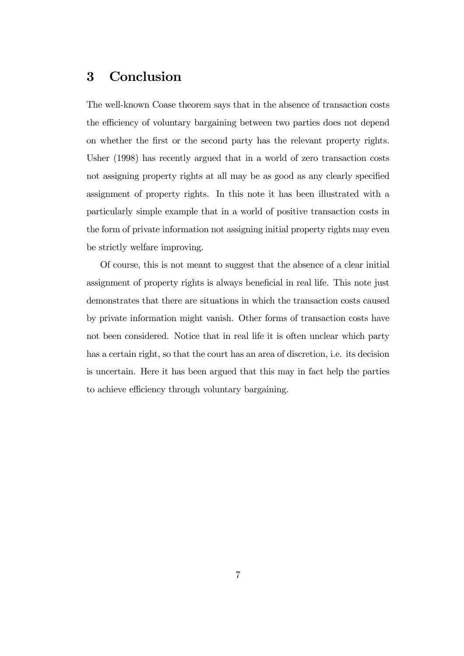## 3 Conclusion

The well-known Coase theorem says that in the absence of transaction costs the efficiency of voluntary bargaining between two parties does not depend on whether the first or the second party has the relevant property rights. Usher (1998) has recently argued that in a world of zero transaction costs not assigning property rights at all may be as good as any clearly specified assignment of property rights. In this note it has been illustrated with a particularly simple example that in a world of positive transaction costs in the form of private information not assigning initial property rights may even be strictly welfare improving.

Of course, this is not meant to suggest that the absence of a clear initial assignment of property rights is always beneficial in real life. This note just demonstrates that there are situations in which the transaction costs caused by private information might vanish. Other forms of transaction costs have not been considered. Notice that in real life it is often unclear which party has a certain right, so that the court has an area of discretion, i.e. its decision is uncertain. Here it has been argued that this may in fact help the parties to achieve efficiency through voluntary bargaining.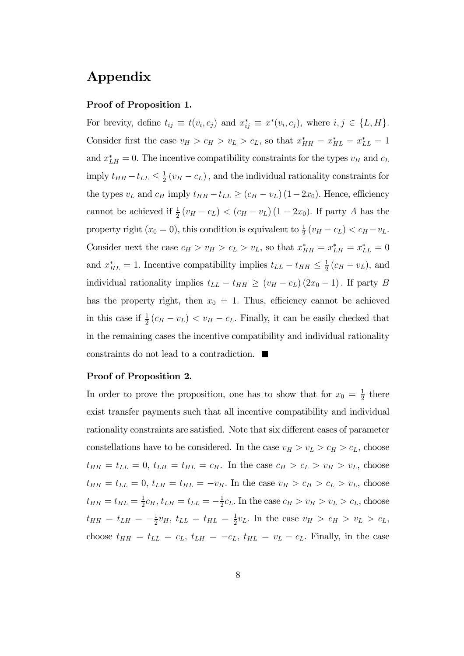## Appendix

#### Proof of Proposition 1.

For brevity, define  $t_{ij} \equiv t(v_i, c_j)$  and  $x_{ij}^* \equiv x^*(v_i, c_j)$ , where  $i, j \in \{L, H\}$ . Consider first the case  $v_H > c_H > v_L > c_L$ , so that  $x_{HH}^* = x_{HL}^* = x_{LL}^* = 1$ and  $x_{LH}^* = 0$ . The incentive compatibility constraints for the types  $v_H$  and  $c_L$ imply  $t_{HH} - t_{LL} \leq \frac{1}{2}$  $\frac{1}{2}(v_H - c_L)$ , and the individual rationality constraints for the types  $v_L$  and  $c_H$  imply  $t_{HH} - t_{LL} \ge (c_H - v_L) (1 - 2x_0)$ . Hence, efficiency cannot be achieved if  $\frac{1}{2}(v_H - c_L) < (c_H - v_L) (1 - 2x_0)$ . If party A has the property right  $(x_0 = 0)$ , this condition is equivalent to  $\frac{1}{2}(v_H - c_L) < c_H - v_L$ . Consider next the case  $c_H > v_H > c_L > v_L$ , so that  $x_{HH}^* = x_{L}^* = x_{LL}^* = 0$ and  $x_{HL}^* = 1$ . Incentive compatibility implies  $t_{LL} - t_{HH} \leq \frac{1}{2}$  $\frac{1}{2}(c_H - v_L)$ , and individual rationality implies  $t_{LL} - t_{HH} \ge (v_H - c_L) (2x_0 - 1)$ . If party B has the property right, then  $x_0 = 1$ . Thus, efficiency cannot be achieved in this case if  $\frac{1}{2}(c_H - v_L) < v_H - c_L$ . Finally, it can be easily checked that in the remaining cases the incentive compatibility and individual rationality constraints do not lead to a contradiction.

#### Proof of Proposition 2.

In order to prove the proposition, one has to show that for  $x_0 = \frac{1}{2}$  $rac{1}{2}$  there exist transfer payments such that all incentive compatibility and individual rationality constraints are satisfied. Note that six different cases of parameter constellations have to be considered. In the case  $v_H > v_L > c_H > c_L$ , choose  $t_{HH} = t_{LL} = 0, t_{LH} = t_{HL} = c_H$ . In the case  $c_H > c_L > v_H > v_L$ , choose  $t_{HH} = t_{LL} = 0, t_{LH} = t_{HL} = -v_H$ . In the case  $v_H > c_H > c_L > v_L$ , choose  $t_{HH} = t_{HL} = \frac{1}{2}$  $\frac{1}{2}c_H, t_{LH} = t_{LL} = -\frac{1}{2}$  $\frac{1}{2}c_L$ . In the case  $c_H > v_H > v_L > c_L$ , choose  $t_{HH} = t_{LH} = -\frac{1}{2}v_H, t_{LL} = t_{HL} = \frac{1}{2}$  $\frac{1}{2}v_L$ . In the case  $v_H > c_H > v_L > c_L$ , choose  $t_{HH} = t_{LL} = c_L$ ,  $t_{LH} = -c_L$ ,  $t_{HL} = v_L - c_L$ . Finally, in the case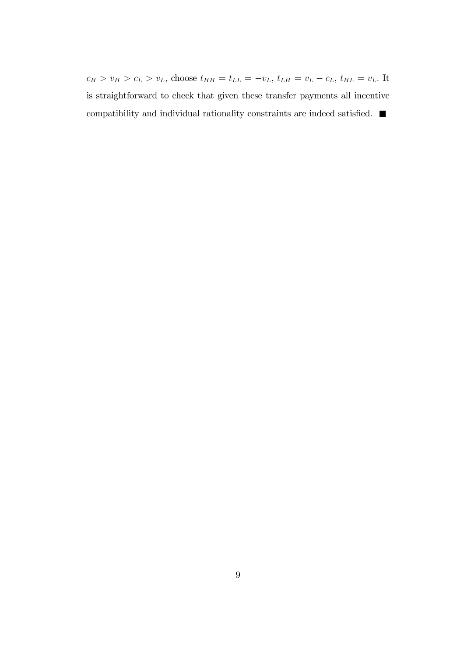$c_H > v_H > c_L > v_L$ , choose  $t_{HH} = t_{LL} = -v_L, t_{LH} = v_L - c_L, t_{HL} = v_L$  It is straightforward to check that given these transfer payments all incentive compatibility and individual rationality constraints are indeed satisfied.  $\blacksquare$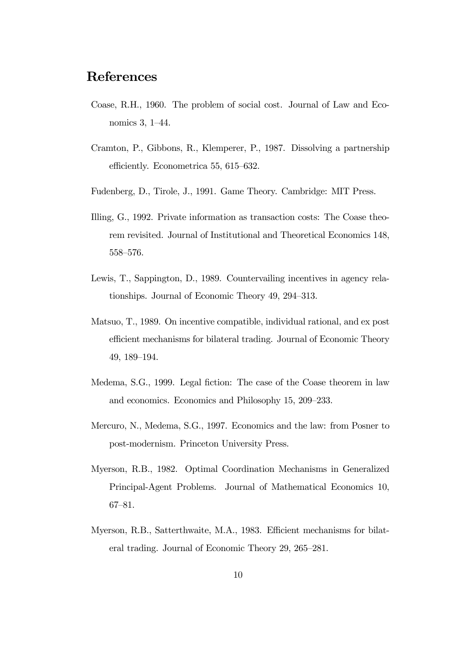### References

- Coase, R.H., 1960. The problem of social cost. Journal of Law and Economics 3, 1—44.
- Cramton, P., Gibbons, R., Klemperer, P., 1987. Dissolving a partnership efficiently. Econometrica 55, 615—632.
- Fudenberg, D., Tirole, J., 1991. Game Theory. Cambridge: MIT Press.
- Illing, G., 1992. Private information as transaction costs: The Coase theorem revisited. Journal of Institutional and Theoretical Economics 148, 558—576.
- Lewis, T., Sappington, D., 1989. Countervailing incentives in agency relationships. Journal of Economic Theory 49, 294—313.
- Matsuo, T., 1989. On incentive compatible, individual rational, and ex post efficient mechanisms for bilateral trading. Journal of Economic Theory 49, 189—194.
- Medema, S.G., 1999. Legal fiction: The case of the Coase theorem in law and economics. Economics and Philosophy 15, 209—233.
- Mercuro, N., Medema, S.G., 1997. Economics and the law: from Posner to post-modernism. Princeton University Press.
- Myerson, R.B., 1982. Optimal Coordination Mechanisms in Generalized Principal-Agent Problems. Journal of Mathematical Economics 10, 67—81.
- Myerson, R.B., Satterthwaite, M.A., 1983. Efficient mechanisms for bilateral trading. Journal of Economic Theory 29, 265—281.